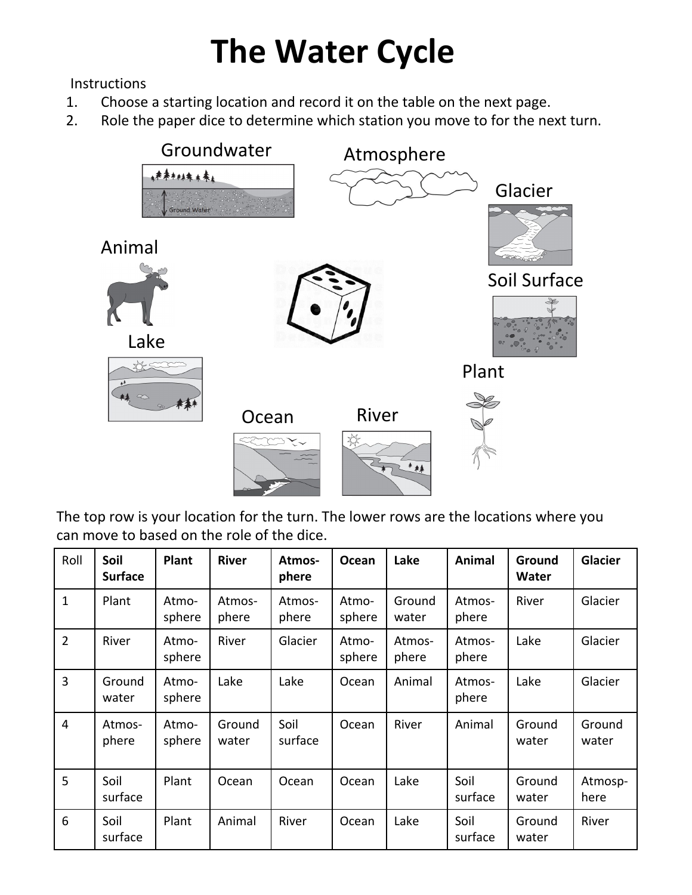## **The Water Cycle**

**Instructions** 

- 1. Choose a starting location and record it on the table on the next page.
- 2. Role the paper dice to determine which station you move to for the next turn.



The top row is your location for the turn. The lower rows are the locations where you can move to based on the role of the dice.

| Roll           | Soil<br><b>Surface</b> | <b>Plant</b>    | <b>River</b>    | Atmos-<br>phere | Ocean           | Lake            | Animal          | Ground<br>Water | <b>Glacier</b>  |
|----------------|------------------------|-----------------|-----------------|-----------------|-----------------|-----------------|-----------------|-----------------|-----------------|
| $\mathbf{1}$   | Plant                  | Atmo-<br>sphere | Atmos-<br>phere | Atmos-<br>phere | Atmo-<br>sphere | Ground<br>water | Atmos-<br>phere | River           | Glacier         |
| $\overline{2}$ | River                  | Atmo-<br>sphere | River           | Glacier         | Atmo-<br>sphere | Atmos-<br>phere | Atmos-<br>phere | Lake            | Glacier         |
| $\overline{3}$ | Ground<br>water        | Atmo-<br>sphere | Lake            | Lake            | Ocean           | Animal          | Atmos-<br>phere | Lake            | Glacier         |
| 4              | Atmos-<br>phere        | Atmo-<br>sphere | Ground<br>water | Soil<br>surface | Ocean           | River           | Animal          | Ground<br>water | Ground<br>water |
| 5              | Soil<br>surface        | Plant           | Ocean           | Ocean           | Ocean           | Lake            | Soil<br>surface | Ground<br>water | Atmosp-<br>here |
| 6              | Soil<br>surface        | Plant           | Animal          | River           | Ocean           | Lake            | Soil<br>surface | Ground<br>water | River           |